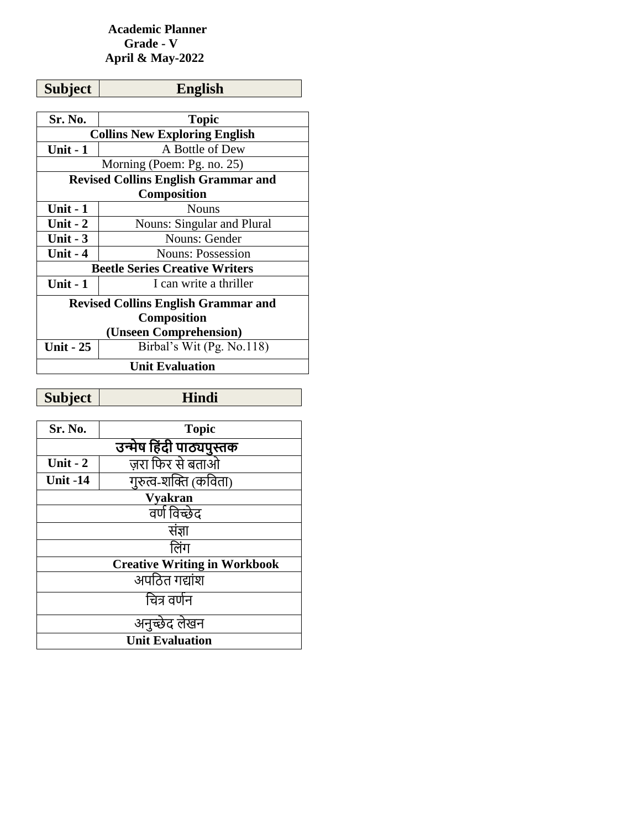## **Academic Planner Grade - V April & May-2022**

| <b>Subject</b>                       | <b>English</b>                             |  |
|--------------------------------------|--------------------------------------------|--|
|                                      |                                            |  |
| Sr. No.                              | <b>Topic</b>                               |  |
| <b>Collins New Exploring English</b> |                                            |  |
| Unit - 1                             | A Bottle of Dew                            |  |
|                                      | Morning (Poem: Pg. no. 25)                 |  |
|                                      | <b>Revised Collins English Grammar and</b> |  |
|                                      | <b>Composition</b>                         |  |
| <b>Unit - 1</b>                      | <b>Nouns</b>                               |  |
| Unit $-2$                            | <b>Nouns: Singular and Plural</b>          |  |
| Unit $-3$                            | Nouns: Gender                              |  |
| Unit - 4                             | <b>Nouns: Possession</b>                   |  |
|                                      | <b>Beetle Series Creative Writers</b>      |  |
| Unit $-1$                            | I can write a thriller                     |  |
|                                      | <b>Revised Collins English Grammar and</b> |  |
|                                      | Composition                                |  |
|                                      | (Unseen Comprehension)                     |  |
| <b>Unit - 25</b>                     | Birbal's Wit (Pg. No.118)                  |  |
|                                      | <b>Unit Evaluation</b>                     |  |

**Subject Hindi**

| Sr. No.         | <b>Topic</b>                        |
|-----------------|-------------------------------------|
|                 | उन्मेष हिंदी पाठ्यपुस्तक            |
| Unit - $2$      | ज़रा फिर से बताओ                    |
| <b>Unit -14</b> | गुरुत्व-शक्ति (कविता)               |
|                 | <b>Vyakran</b>                      |
|                 | वर्ण विच्छेद                        |
|                 | संज्ञा                              |
|                 | लिंग                                |
|                 | <b>Creative Writing in Workbook</b> |
|                 | अपठित गद्यांश                       |
|                 | चित्र वर्णन                         |
|                 | अनुच्छेद लेखन                       |
|                 | <b>Unit Evaluation</b>              |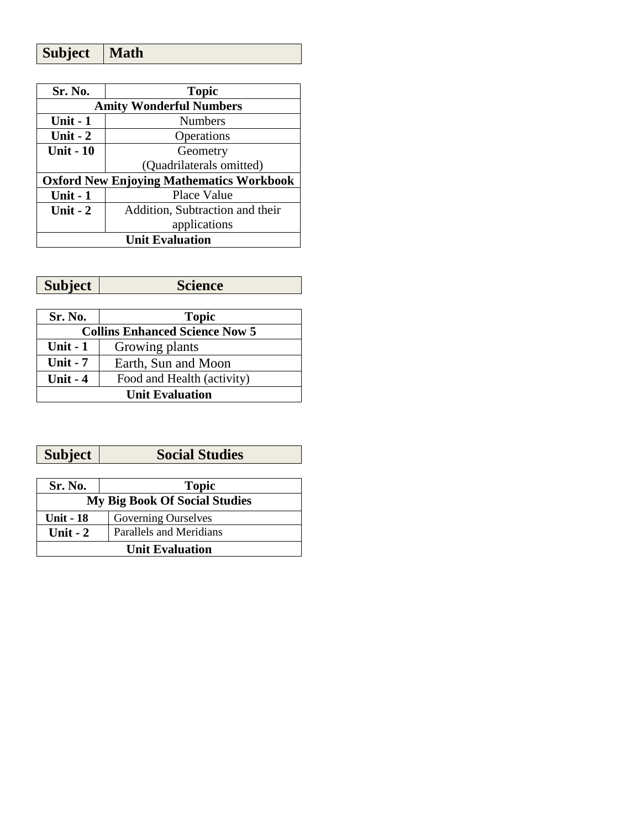| <b>Subject</b> | Math |
|----------------|------|
|----------------|------|

| Sr. No.                                         | <b>Topic</b>                    |
|-------------------------------------------------|---------------------------------|
| <b>Amity Wonderful Numbers</b>                  |                                 |
| Unit $-1$                                       | <b>Numbers</b>                  |
| Unit $-2$                                       | Operations                      |
| <b>Unit - 10</b>                                | Geometry                        |
|                                                 | (Quadrilaterals omitted)        |
| <b>Oxford New Enjoying Mathematics Workbook</b> |                                 |
| Unit $-1$                                       | Place Value                     |
| Unit $-2$                                       | Addition, Subtraction and their |
|                                                 | applications                    |
| <b>Unit Evaluation</b>                          |                                 |

| Subject | <b>Science</b> |
|---------|----------------|
|---------|----------------|

| Sr. No.                               | <b>Topic</b>               |
|---------------------------------------|----------------------------|
| <b>Collins Enhanced Science Now 5</b> |                            |
| Unit $-1$                             | Growing plants             |
| Unit $-7$                             | Earth, Sun and Moon        |
| Unit $-4$                             | Food and Health (activity) |
| <b>Unit Evaluation</b>                |                            |

| <b>Subject</b> | <b>Social Studies</b> |
|----------------|-----------------------|
|                |                       |
| Sr. No.        | <b>Topic</b>          |

| <b>My Big Book Of Social Studies</b> |                         |
|--------------------------------------|-------------------------|
| <b>Unit - 18</b>                     | Governing Ourselves     |
| Unit $-2$                            | Parallels and Meridians |
| <b>Unit Evaluation</b>               |                         |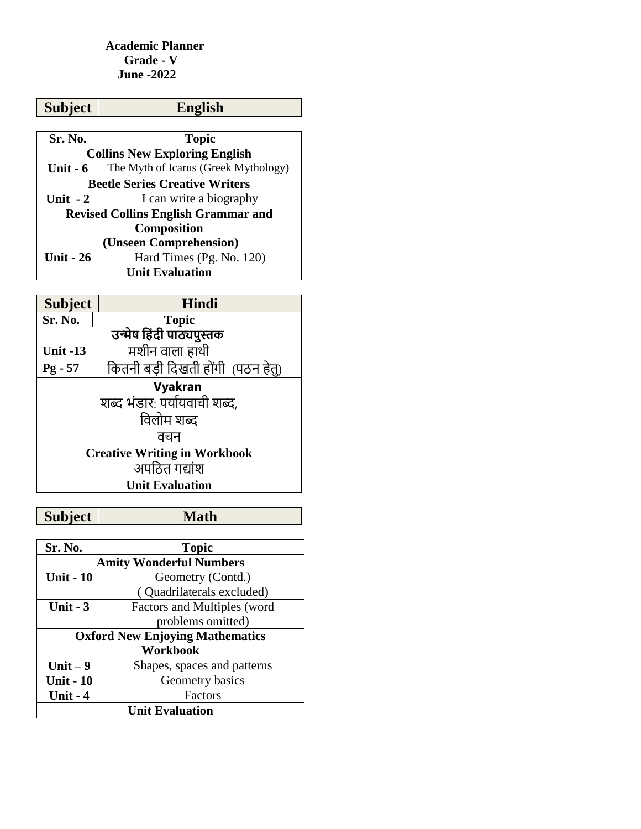#### **Academic Planner Grade - V June -2022**

| <b>Subject</b>                             | <b>English</b>                       |  |
|--------------------------------------------|--------------------------------------|--|
|                                            |                                      |  |
| Sr. No.                                    | <b>Topic</b>                         |  |
| <b>Collins New Exploring English</b>       |                                      |  |
| Unit $-6$                                  | The Myth of Icarus (Greek Mythology) |  |
| <b>Beetle Series Creative Writers</b>      |                                      |  |
| Unit $-2$                                  | I can write a biography              |  |
| <b>Revised Collins English Grammar and</b> |                                      |  |
|                                            | <b>Composition</b>                   |  |
|                                            | (Unseen Comprehension)               |  |
| <b>Unit - 26</b>                           | Hard Times (Pg. No. 120)             |  |
| <b>Unit Evaluation</b>                     |                                      |  |

| <b>Subject</b>                      | <b>Hindi</b>                       |  |
|-------------------------------------|------------------------------------|--|
| Sr. No.                             | <b>Topic</b>                       |  |
|                                     | उन्मेष हिंदी पाठ्यपुस्तक           |  |
| <b>Unit -13</b>                     | मशीन वाला हाथी                     |  |
| $Pg - 57$                           | कितनी बड़ी दिखती होंगी) (पठन हेतु) |  |
| Vyakran                             |                                    |  |
|                                     | शब्द भंडार: पर्यायवाची शब्द,       |  |
| विलोम शब्द                          |                                    |  |
| वचन                                 |                                    |  |
| <b>Creative Writing in Workbook</b> |                                    |  |
|                                     | अपठित गद्यांश                      |  |
| <b>Unit Evaluation</b>              |                                    |  |

| Sr. No.                                | <b>Topic</b>                   |  |
|----------------------------------------|--------------------------------|--|
|                                        | <b>Amity Wonderful Numbers</b> |  |
| <b>Unit - 10</b>                       | Geometry (Contd.)              |  |
|                                        | (Quadrilaterals excluded)      |  |
| Unit - $3$                             | Factors and Multiples (word    |  |
|                                        | problems omitted)              |  |
| <b>Oxford New Enjoying Mathematics</b> |                                |  |
|                                        | <b>Workbook</b>                |  |
| Unit $-9$                              | Shapes, spaces and patterns    |  |
| <b>Unit - 10</b>                       | Geometry basics                |  |
| Unit $-4$                              | Factors                        |  |
| <b>Unit Evaluation</b>                 |                                |  |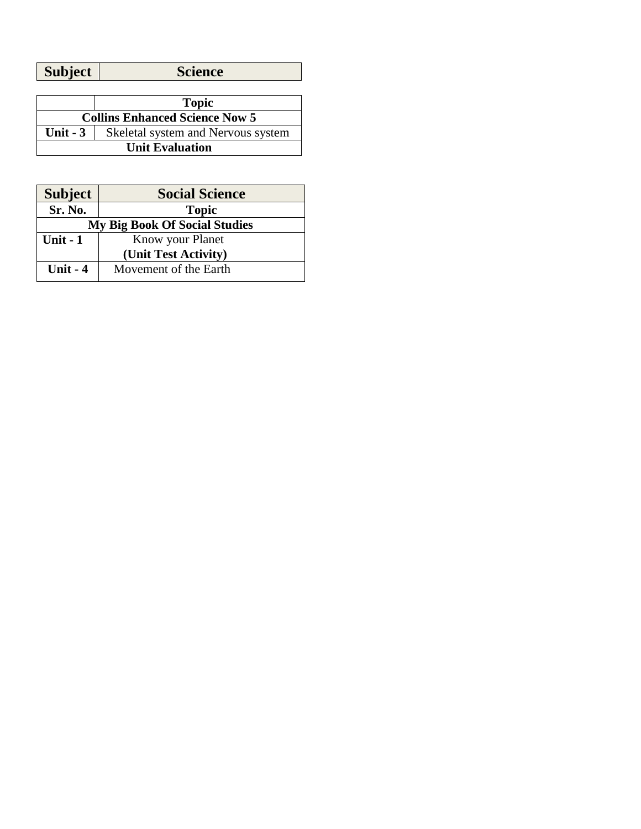| <b>Subject</b><br><b>Science</b> |
|----------------------------------|
|----------------------------------|

|                                       | <b>Topic</b>                       |
|---------------------------------------|------------------------------------|
| <b>Collins Enhanced Science Now 5</b> |                                    |
| Unit $-3$                             | Skeletal system and Nervous system |
| <b>Unit Evaluation</b>                |                                    |

| <b>Subject</b>                       | <b>Social Science</b> |
|--------------------------------------|-----------------------|
| Sr. No.                              | <b>Topic</b>          |
| <b>My Big Book Of Social Studies</b> |                       |
| Unit $-1$                            | Know your Planet      |
|                                      | (Unit Test Activity)  |
| Unit $-4$                            | Movement of the Earth |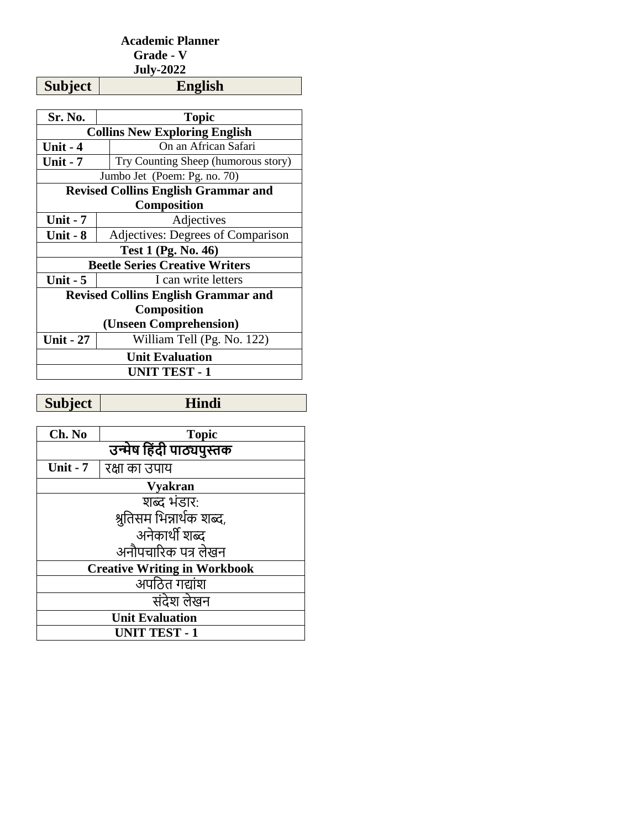## **Academic Planner Grade - V July-2022**

| Sr. No.                                    | Topic                                      |  |
|--------------------------------------------|--------------------------------------------|--|
|                                            | <b>Collins New Exploring English</b>       |  |
| Unit - 4                                   | On an African Safari                       |  |
| <b>Unit - 7</b>                            | Try Counting Sheep (humorous story)        |  |
|                                            | Jumbo Jet (Poem: Pg. no. 70)               |  |
| <b>Revised Collins English Grammar and</b> |                                            |  |
| <b>Composition</b>                         |                                            |  |
| Unit $-7$                                  | Adjectives                                 |  |
| Unit - 8                                   | Adjectives: Degrees of Comparison          |  |
| <b>Test 1 (Pg. No. 46)</b>                 |                                            |  |
|                                            | <b>Beetle Series Creative Writers</b>      |  |
| Unit $-5$                                  | I can write letters                        |  |
|                                            | <b>Revised Collins English Grammar and</b> |  |
| <b>Composition</b>                         |                                            |  |
| (Unseen Comprehension)                     |                                            |  |
| <b>Unit - 27</b>                           | William Tell (Pg. No. 122)                 |  |
| <b>Unit Evaluation</b>                     |                                            |  |
| <b>UNIT TEST - 1</b>                       |                                            |  |

**Subject Hindi**

**Subject** 

| Ch. No                              | <b>Topic</b>  |  |
|-------------------------------------|---------------|--|
| उन्मेष हिंदी पाठ्यपुस्तक            |               |  |
| Unit - $7$                          | रक्षा का उपाय |  |
| <b>Vyakran</b>                      |               |  |
| शब्द भंडार:                         |               |  |
| श्रुतिसम भिन्नार्थक शब्द,           |               |  |
| अनेकार्थी शब्द                      |               |  |
| अनौपचारिक पत्र लेखन                 |               |  |
| <b>Creative Writing in Workbook</b> |               |  |
| अपठित गद्यांश                       |               |  |
| संदेश लेखन                          |               |  |
| <b>Unit Evaluation</b>              |               |  |
| <b>UNIT TEST - 1</b>                |               |  |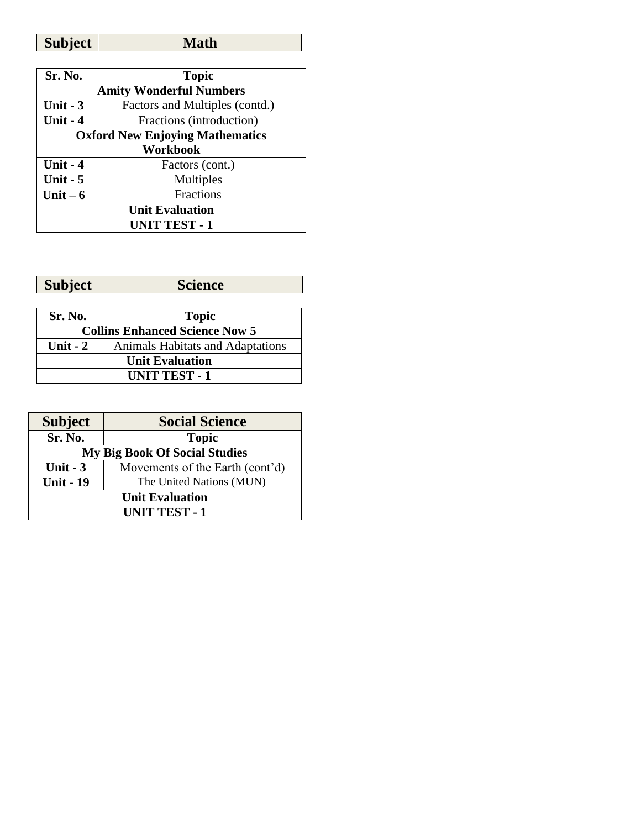| Math<br><b>Subject</b> |  |
|------------------------|--|
|------------------------|--|

| Sr. No.                                | <b>Topic</b>                   |  |
|----------------------------------------|--------------------------------|--|
| <b>Amity Wonderful Numbers</b>         |                                |  |
| Unit $-3$                              | Factors and Multiples (contd.) |  |
| Unit - 4                               | Fractions (introduction)       |  |
| <b>Oxford New Enjoying Mathematics</b> |                                |  |
| Workbook                               |                                |  |
| Unit $-4$                              | Factors (cont.)                |  |
| Unit $-5$                              | Multiples                      |  |
| Unit $-6$                              | Fractions                      |  |
| <b>Unit Evaluation</b>                 |                                |  |
| <b>UNIT TEST - 1</b>                   |                                |  |

| <b>Subject</b>       | $\sim$ $\sim$ $\sim$ |
|----------------------|----------------------|
| $\nu$ <i>u</i> $\nu$ | -ucc                 |
|                      |                      |

| Sr. No.                               | <b>Topic</b>                            |
|---------------------------------------|-----------------------------------------|
| <b>Collins Enhanced Science Now 5</b> |                                         |
| Unit $-2$                             | <b>Animals Habitats and Adaptations</b> |
| <b>Unit Evaluation</b>                |                                         |
| <b>UNIT TEST - 1</b>                  |                                         |

| <b>Subject</b>                       | <b>Social Science</b>           |
|--------------------------------------|---------------------------------|
| Sr. No.                              | <b>Topic</b>                    |
| <b>My Big Book Of Social Studies</b> |                                 |
| Unit $-3$                            | Movements of the Earth (cont'd) |
| <b>Unit - 19</b>                     | The United Nations (MUN)        |
| <b>Unit Evaluation</b>               |                                 |
| <b>UNIT TEST - 1</b>                 |                                 |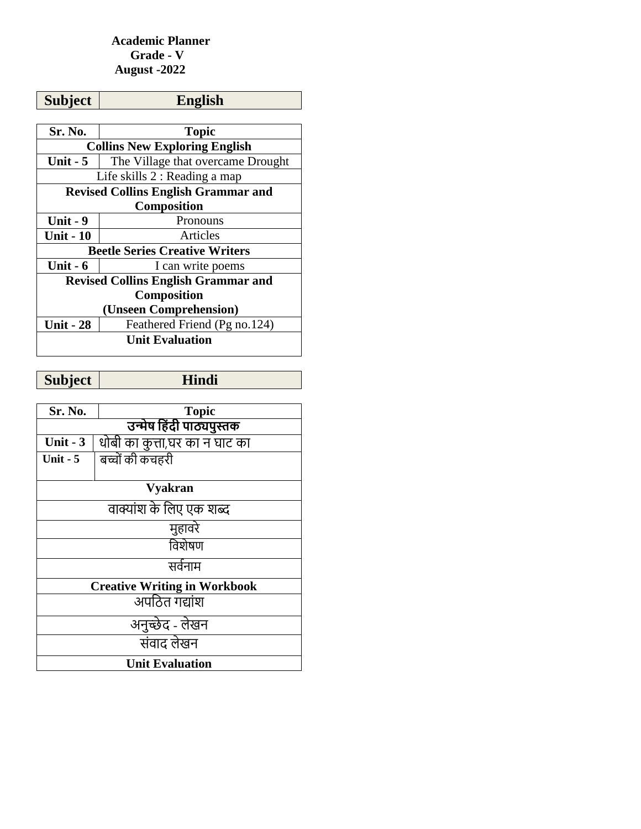### **Academic Planner Grade - V August -2022**

| <b>Subject</b>                             | <b>English</b>                             |  |
|--------------------------------------------|--------------------------------------------|--|
|                                            |                                            |  |
| Sr. No.                                    | <b>Topic</b>                               |  |
| <b>Collins New Exploring English</b>       |                                            |  |
| <b>Unit - 5</b>                            | The Village that overcame Drought          |  |
| Life skills 2 : Reading a map              |                                            |  |
| <b>Revised Collins English Grammar and</b> |                                            |  |
| Composition                                |                                            |  |
| <b>Unit - 9</b>                            | Pronouns                                   |  |
| <b>Unit - 10</b>                           | Articles                                   |  |
|                                            | <b>Beetle Series Creative Writers</b>      |  |
| Unit $-6$                                  | I can write poems                          |  |
|                                            | <b>Revised Collins English Grammar and</b> |  |
| Composition                                |                                            |  |
|                                            | (Unseen Comprehension)                     |  |
| <b>Unit - 28</b>                           | Feathered Friend (Pg no.124)               |  |
| <b>Unit Evaluation</b>                     |                                            |  |

**Subject Hindi**

| Sr. No.                | <b>Topic</b>                        |  |  |
|------------------------|-------------------------------------|--|--|
|                        | उन्मेष हिंदी पाठ्यपुस्तक            |  |  |
| Unit $-3$              | धोबी का कुत्ता,घर का न घाट का       |  |  |
| Unit $-5$              | बच्चों की कचहरी                     |  |  |
|                        |                                     |  |  |
|                        | <b>Vyakran</b>                      |  |  |
|                        | वाक्यांश के लिए एक शब्द             |  |  |
|                        | मुहावरे                             |  |  |
|                        | विशेषण                              |  |  |
|                        | सर्वनाम                             |  |  |
|                        | <b>Creative Writing in Workbook</b> |  |  |
|                        | अपठित गद्यांश                       |  |  |
| अनुच्छेद - लेखन        |                                     |  |  |
|                        | संवाद लेखन                          |  |  |
| <b>Unit Evaluation</b> |                                     |  |  |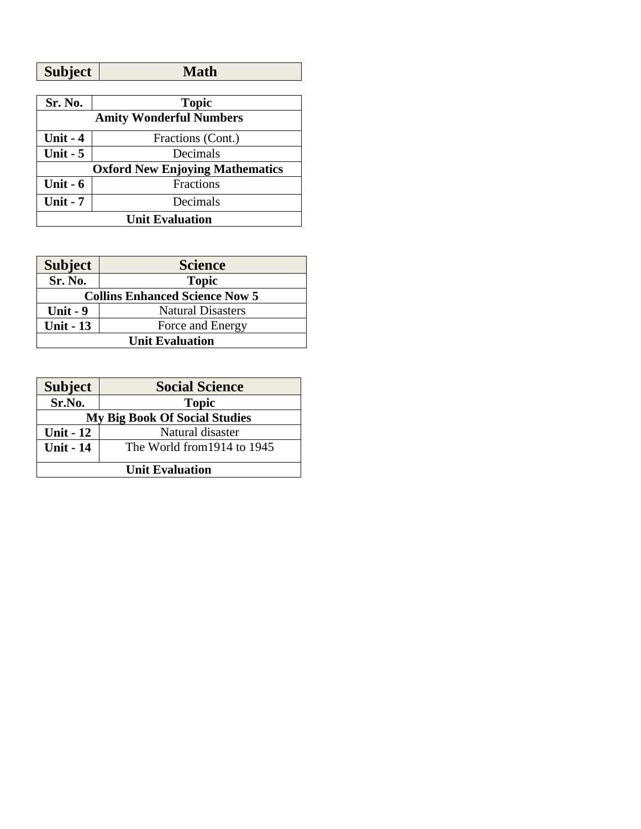| <b>Subject</b> | <b>Math</b> |
|----------------|-------------|
|                |             |

| Sr. No.                | <b>Topic</b>                           |  |  |
|------------------------|----------------------------------------|--|--|
|                        | <b>Amity Wonderful Numbers</b>         |  |  |
| Unit $-4$              | Fractions (Cont.)                      |  |  |
| Unit $-5$              | Decimals                               |  |  |
|                        | <b>Oxford New Enjoying Mathematics</b> |  |  |
| Unit $-6$              | <b>Fractions</b>                       |  |  |
| Unit $-7$              | Decimals                               |  |  |
| <b>Unit Evaluation</b> |                                        |  |  |

| <b>Subject</b>                        | <b>Science</b>           |  |
|---------------------------------------|--------------------------|--|
| Sr. No.                               | <b>Topic</b>             |  |
| <b>Collins Enhanced Science Now 5</b> |                          |  |
| Unit $-9$                             | <b>Natural Disasters</b> |  |
| <b>Unit - 13</b>                      | Force and Energy         |  |
| <b>Unit Evaluation</b>                |                          |  |
|                                       |                          |  |
|                                       |                          |  |

| <b>Subject</b>                       | <b>Social Science</b>       |
|--------------------------------------|-----------------------------|
| Sr.No.                               | <b>Topic</b>                |
| <b>My Big Book Of Social Studies</b> |                             |
| <b>Unit - 12</b>                     | Natural disaster            |
| <b>Unit - 14</b>                     | The World from 1914 to 1945 |
| <b>Unit Evaluation</b>               |                             |
|                                      |                             |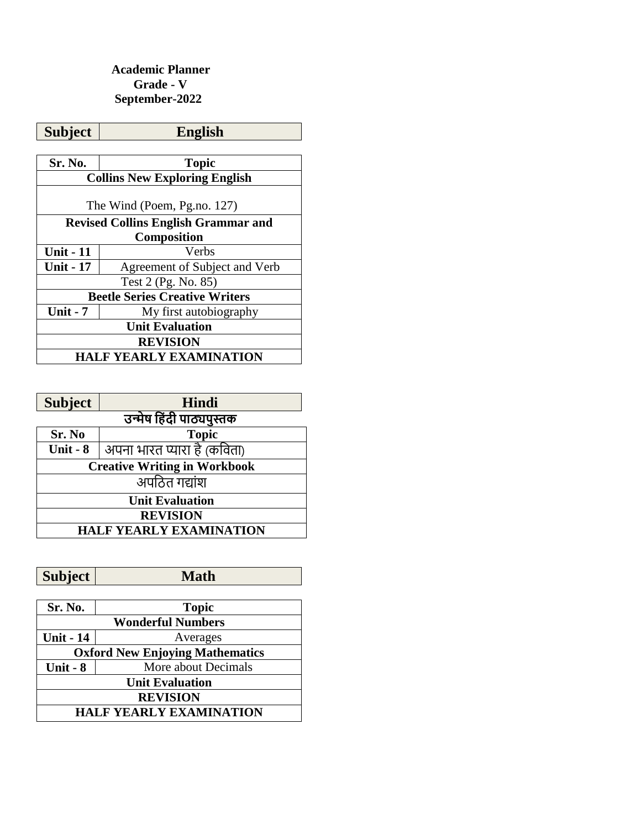### **Academic Planner Grade - V September-2022**

| <b>Subject</b>                             | <b>English</b>                       |  |
|--------------------------------------------|--------------------------------------|--|
|                                            |                                      |  |
| Sr. No.                                    | <b>Topic</b>                         |  |
|                                            | <b>Collins New Exploring English</b> |  |
| The Wind (Poem, Pg.no. 127)                |                                      |  |
| <b>Revised Collins English Grammar and</b> |                                      |  |
|                                            | <b>Composition</b>                   |  |
| <b>Unit - 11</b>                           | Verbs                                |  |
| <b>Unit - 17</b>                           | Agreement of Subject and Verb        |  |
| Test 2 (Pg. No. 85)                        |                                      |  |
| <b>Beetle Series Creative Writers</b>      |                                      |  |
| <b>Unit - 7</b>                            | My first autobiography               |  |
| <b>Unit Evaluation</b>                     |                                      |  |
| <b>REVISION</b>                            |                                      |  |
| HALF YEARLY EXAMINATION                    |                                      |  |

| <b>Subject</b>                      | <b>Hindi</b>                |  |
|-------------------------------------|-----------------------------|--|
|                                     | उन्मेष हिंदी पाठ्यपुस्तक    |  |
| Sr. No                              | <b>Topic</b>                |  |
| Unit - $8$                          | अपना भारत प्यारा है (कविता) |  |
| <b>Creative Writing in Workbook</b> |                             |  |
| अपठित गद्यांश                       |                             |  |
| <b>Unit Evaluation</b>              |                             |  |
| <b>REVISION</b>                     |                             |  |
| <b>HALF YEARLY EXAMINATION</b>      |                             |  |

| Sr. No.                                | <b>Topic</b>        |  |
|----------------------------------------|---------------------|--|
| <b>Wonderful Numbers</b>               |                     |  |
| <b>Unit - 14</b>                       | Averages            |  |
| <b>Oxford New Enjoying Mathematics</b> |                     |  |
| Unit - $8$                             | More about Decimals |  |
| <b>Unit Evaluation</b>                 |                     |  |
| <b>REVISION</b>                        |                     |  |
| <b>HALF YEARLY EXAMINATION</b>         |                     |  |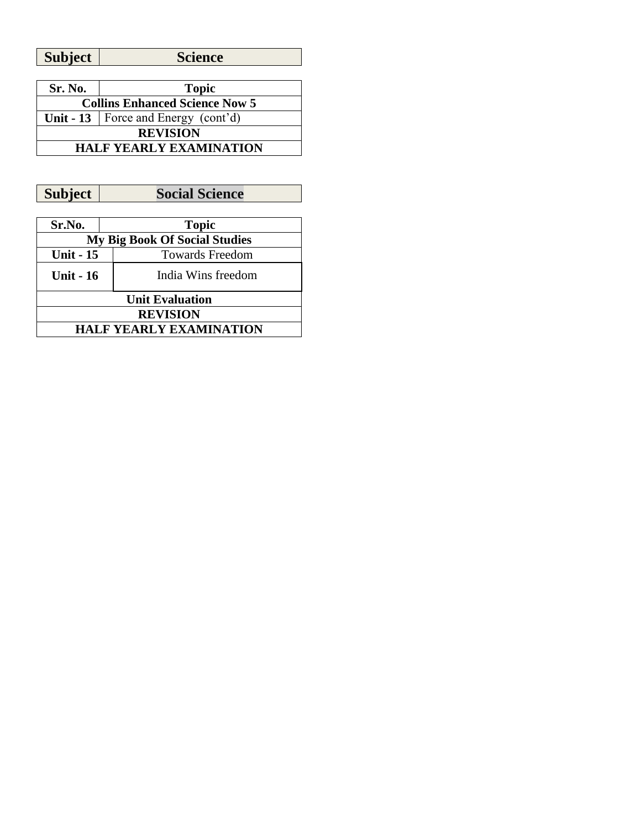**Subject Science**

| Sr. No.                               | <b>Topic</b>                            |
|---------------------------------------|-----------------------------------------|
| <b>Collins Enhanced Science Now 5</b> |                                         |
|                                       | Unit - 13   Force and Energy $(cont'd)$ |
| <b>REVISION</b>                       |                                         |
| <b>HALF YEARLY EXAMINATION</b>        |                                         |

**Subject Social Science**

| Sr.No.                         | <b>Topic</b>                         |  |  |
|--------------------------------|--------------------------------------|--|--|
|                                | <b>My Big Book Of Social Studies</b> |  |  |
| <b>Unit - 15</b>               | <b>Towards Freedom</b>               |  |  |
| <b>Unit - 16</b>               | India Wins freedom                   |  |  |
|                                | <b>Unit Evaluation</b>               |  |  |
| <b>REVISION</b>                |                                      |  |  |
| <b>HALF YEARLY EXAMINATION</b> |                                      |  |  |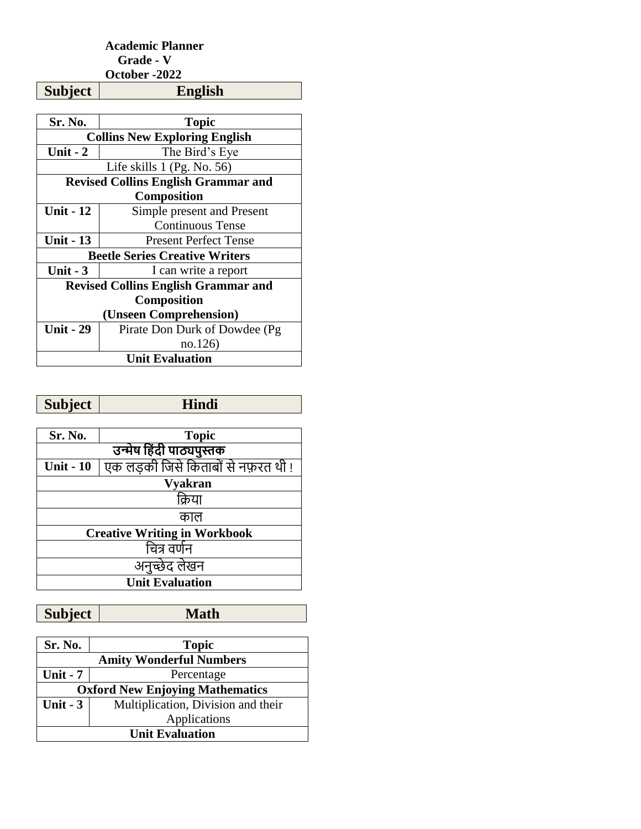#### **Academic Planner Grade - V October -2022**

**Subject English**

| Sr. No.                                    | <b>Topic</b>                               |  |  |
|--------------------------------------------|--------------------------------------------|--|--|
| <b>Collins New Exploring English</b>       |                                            |  |  |
| Unit $-2$                                  | The Bird's Eye                             |  |  |
|                                            | Life skills $1$ (Pg. No. 56)               |  |  |
| <b>Revised Collins English Grammar and</b> |                                            |  |  |
|                                            | Composition                                |  |  |
| <b>Unit - 12</b>                           | Simple present and Present                 |  |  |
|                                            | <b>Continuous Tense</b>                    |  |  |
| <b>Unit - 13</b>                           | <b>Present Perfect Tense</b>               |  |  |
|                                            | <b>Beetle Series Creative Writers</b>      |  |  |
| Unit $-3$                                  | I can write a report                       |  |  |
|                                            | <b>Revised Collins English Grammar and</b> |  |  |
|                                            | <b>Composition</b>                         |  |  |
|                                            | (Unseen Comprehension)                     |  |  |
| <b>Unit - 29</b>                           | Pirate Don Durk of Dowdee (Pg)             |  |  |
|                                            | no.126)                                    |  |  |
| <b>Unit Evaluation</b>                     |                                            |  |  |

| Subject |  |
|---------|--|
|         |  |

| Sr. No.                             | <b>Topic</b>                        |  |
|-------------------------------------|-------------------------------------|--|
|                                     | उन्मेष हिंदी पाठ्यपुस्तक            |  |
| <b>Unit - 10</b>                    | एक लड़की जिसे किताबों से नफ़रत थी ! |  |
| <b>Vyakran</b>                      |                                     |  |
| किया                                |                                     |  |
| काल                                 |                                     |  |
| <b>Creative Writing in Workbook</b> |                                     |  |
| चित्र वर्णन                         |                                     |  |
| अनुच्छेद लेखन                       |                                     |  |
| <b>Unit Evaluation</b>              |                                     |  |

| Sr. No.                                | <b>Topic</b>                       |  |
|----------------------------------------|------------------------------------|--|
| <b>Amity Wonderful Numbers</b>         |                                    |  |
| Unit - $7$                             | Percentage                         |  |
| <b>Oxford New Enjoying Mathematics</b> |                                    |  |
| Unit $-3$                              | Multiplication, Division and their |  |
|                                        | Applications                       |  |
| <b>Unit Evaluation</b>                 |                                    |  |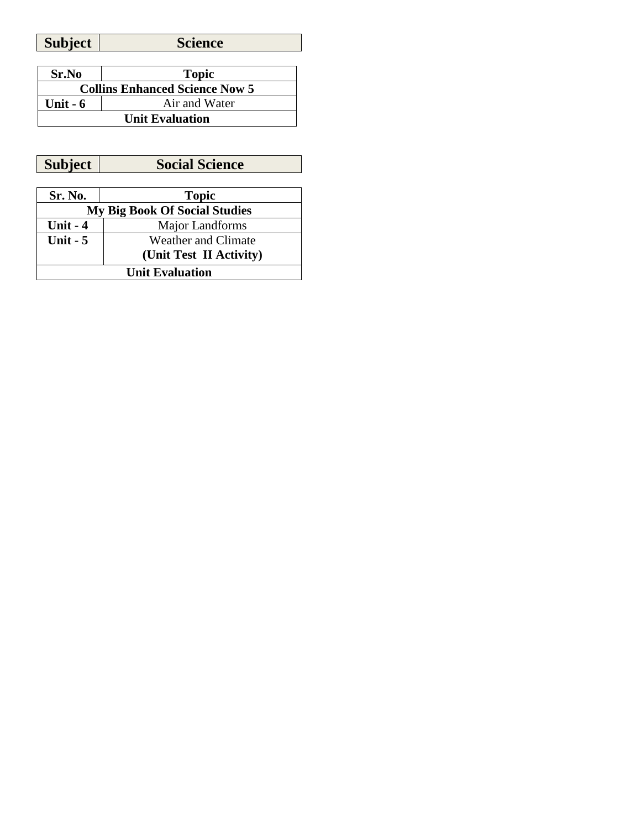| <b>Subject</b> | Science |
|----------------|---------|

| Sr.No                                 | <b>Topic</b>  |
|---------------------------------------|---------------|
| <b>Collins Enhanced Science Now 5</b> |               |
| Unit $-6$                             | Air and Water |
| <b>Unit Evaluation</b>                |               |

**Subject Social Science** 

| Sr. No.                              | <b>Topic</b>            |  |
|--------------------------------------|-------------------------|--|
| <b>My Big Book Of Social Studies</b> |                         |  |
| <b>Unit - 4</b>                      | Major Landforms         |  |
| Unit $-5$                            | Weather and Climate     |  |
|                                      | (Unit Test II Activity) |  |
| <b>Unit Evaluation</b>               |                         |  |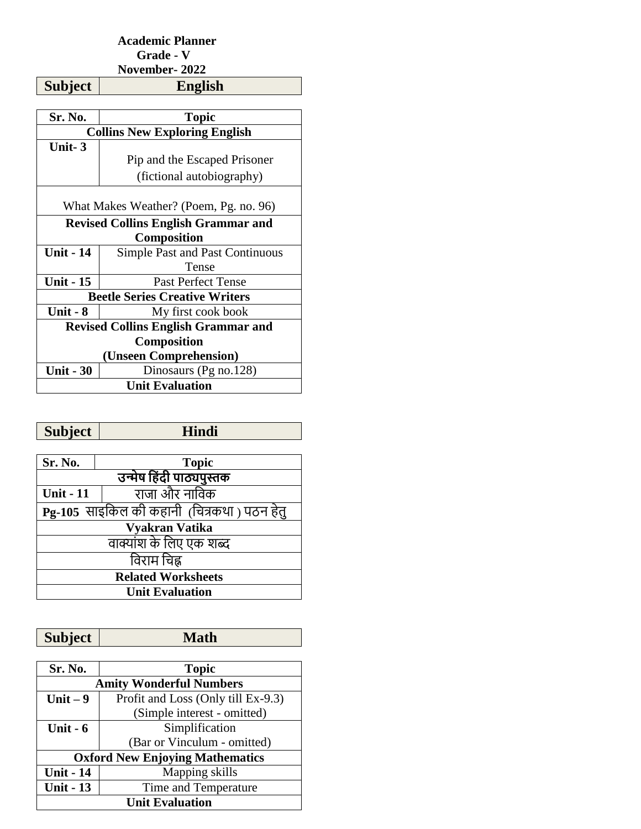## **Academic Planner Grade - V**

**November- 2022** 

**Subject** 

| Sr. No.                                    | Topic                                      |  |
|--------------------------------------------|--------------------------------------------|--|
| <b>Collins New Exploring English</b>       |                                            |  |
| Unit-3                                     |                                            |  |
|                                            | Pip and the Escaped Prisoner               |  |
|                                            | (fictional autobiography)                  |  |
| What Makes Weather? (Poem, Pg. no. 96)     |                                            |  |
| <b>Revised Collins English Grammar and</b> |                                            |  |
| <b>Composition</b>                         |                                            |  |
| <b>Unit - 14</b>                           | <b>Simple Past and Past Continuous</b>     |  |
|                                            | Tense                                      |  |
| <b>Unit - 15</b>                           | <b>Past Perfect Tense</b>                  |  |
| <b>Beetle Series Creative Writers</b>      |                                            |  |
| <b>Unit - 8</b>                            | My first cook book                         |  |
|                                            | <b>Revised Collins English Grammar and</b> |  |
| <b>Composition</b>                         |                                            |  |
| (Unseen Comprehension)                     |                                            |  |
| <b>Unit - 30</b>                           | Dinosaurs (Pg no.128)                      |  |
| <b>Unit Evaluation</b>                     |                                            |  |

| <b>Subject</b>                              | <b>Hindi</b>             |  |  |
|---------------------------------------------|--------------------------|--|--|
|                                             |                          |  |  |
| Sr. No.                                     | <b>Topic</b>             |  |  |
|                                             | उन्मेष हिंदी पाठ्यपुस्तक |  |  |
| <b>Unit - 11</b>                            | राजा और नाविक            |  |  |
| Pg-105) साइकिल की कहानी (चित्रकथा) पठन हेत् |                          |  |  |
| Vyakran Vatika                              |                          |  |  |
| वाक्यांश के लिए एक शब्द                     |                          |  |  |
| विराम चिह्न                                 |                          |  |  |
| <b>Related Worksheets</b>                   |                          |  |  |
| <b>Unit Evaluation</b>                      |                          |  |  |

| <b>Subject</b>                         | <b>Math</b>                        |  |
|----------------------------------------|------------------------------------|--|
|                                        |                                    |  |
| Sr. No.                                | <b>Topic</b>                       |  |
| <b>Amity Wonderful Numbers</b>         |                                    |  |
| Unit $-9$                              | Profit and Loss (Only till Ex-9.3) |  |
|                                        | (Simple interest - omitted)        |  |
| Unit $-6$                              | Simplification                     |  |
|                                        | (Bar or Vinculum - omitted)        |  |
| <b>Oxford New Enjoying Mathematics</b> |                                    |  |
| <b>Unit - 14</b>                       | Mapping skills                     |  |
| <b>Unit - 13</b>                       | Time and Temperature               |  |
| <b>Unit Evaluation</b>                 |                                    |  |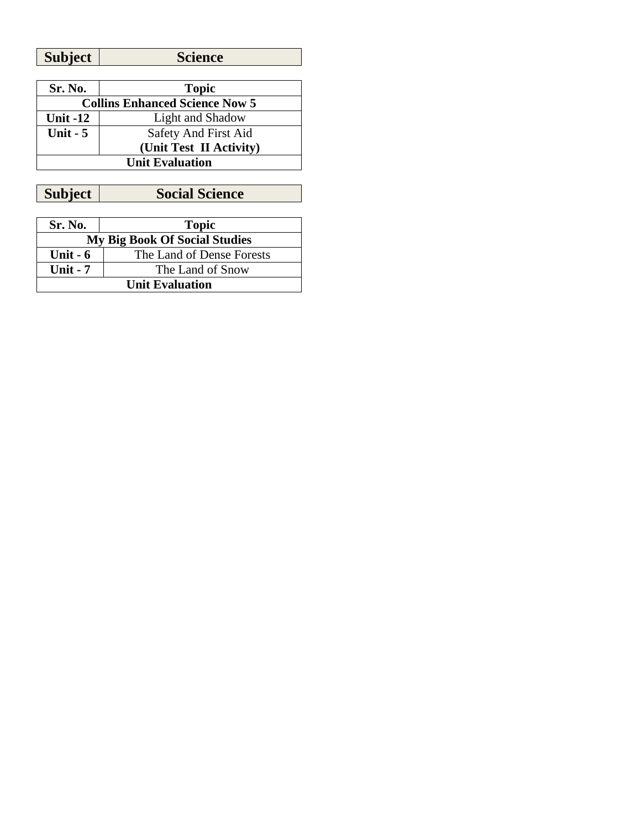| Sr. No.                               | <b>Topic</b>            |  |
|---------------------------------------|-------------------------|--|
| <b>Collins Enhanced Science Now 5</b> |                         |  |
| Unit $-12$                            | Light and Shadow        |  |
| Unit $-5$                             | Safety And First Aid    |  |
|                                       | (Unit Test II Activity) |  |
| <b>Unit Evaluation</b>                |                         |  |

**Subject Social Science**

| Sr. No.                              | <b>Topic</b>              |
|--------------------------------------|---------------------------|
| <b>My Big Book Of Social Studies</b> |                           |
| Unit $-6$                            | The Land of Dense Forests |
| Unit $-7$                            | The Land of Snow          |
| <b>Unit Evaluation</b>               |                           |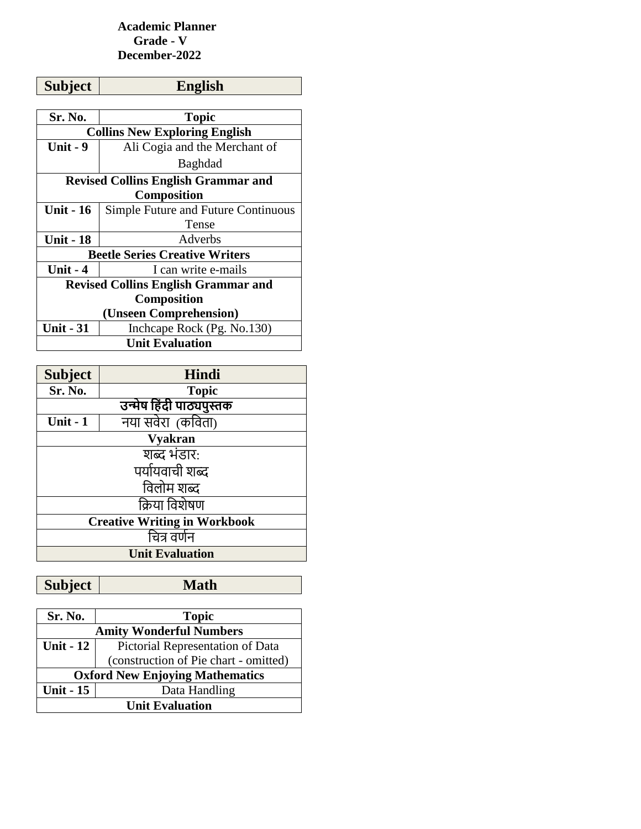### **Academic Planner Grade - V December-2022**

| <b>Subject</b>                             | <b>English</b>                       |  |  |
|--------------------------------------------|--------------------------------------|--|--|
|                                            |                                      |  |  |
| Sr. No.                                    | Topic                                |  |  |
|                                            | <b>Collins New Exploring English</b> |  |  |
| <b>Unit - 9</b>                            | Ali Cogia and the Merchant of        |  |  |
|                                            | <b>Baghdad</b>                       |  |  |
| <b>Revised Collins English Grammar and</b> |                                      |  |  |
| <b>Composition</b>                         |                                      |  |  |
| <b>Unit - 16</b>                           | Simple Future and Future Continuous  |  |  |
|                                            | Tense                                |  |  |
| <b>Unit - 18</b>                           | Adverbs                              |  |  |
| <b>Beetle Series Creative Writers</b>      |                                      |  |  |
| Unit $-4$                                  | I can write e-mails                  |  |  |
| <b>Revised Collins English Grammar and</b> |                                      |  |  |
| Composition                                |                                      |  |  |
| (Unseen Comprehension)                     |                                      |  |  |
| <b>Unit - 31</b>                           | Inchcape Rock (Pg. No.130)           |  |  |
| <b>Unit Evaluation</b>                     |                                      |  |  |

| <b>Subject</b>                      | Hindi                    |
|-------------------------------------|--------------------------|
| Sr. No.                             | <b>Topic</b>             |
|                                     | उन्मेष हिंदी पाठ्यपुस्तक |
| Unit $-1$                           | नया सवेरा (कविता)        |
| <b>Vyakran</b>                      |                          |
| शब्द भंडार:                         |                          |
| पर्यायवाची शब्द                     |                          |
| विलोम शब्द                          |                          |
| क्रिया विशेषण                       |                          |
| <b>Creative Writing in Workbook</b> |                          |
| चित्र वर्णन                         |                          |
| <b>Unit Evaluation</b>              |                          |

| Sr. No.                                | <b>Topic</b>                          |  |
|----------------------------------------|---------------------------------------|--|
| <b>Amity Wonderful Numbers</b>         |                                       |  |
| <b>Unit - 12</b>                       | Pictorial Representation of Data      |  |
|                                        | (construction of Pie chart - omitted) |  |
| <b>Oxford New Enjoying Mathematics</b> |                                       |  |
| <b>Unit - 15</b>                       | Data Handling                         |  |
| <b>Unit Evaluation</b>                 |                                       |  |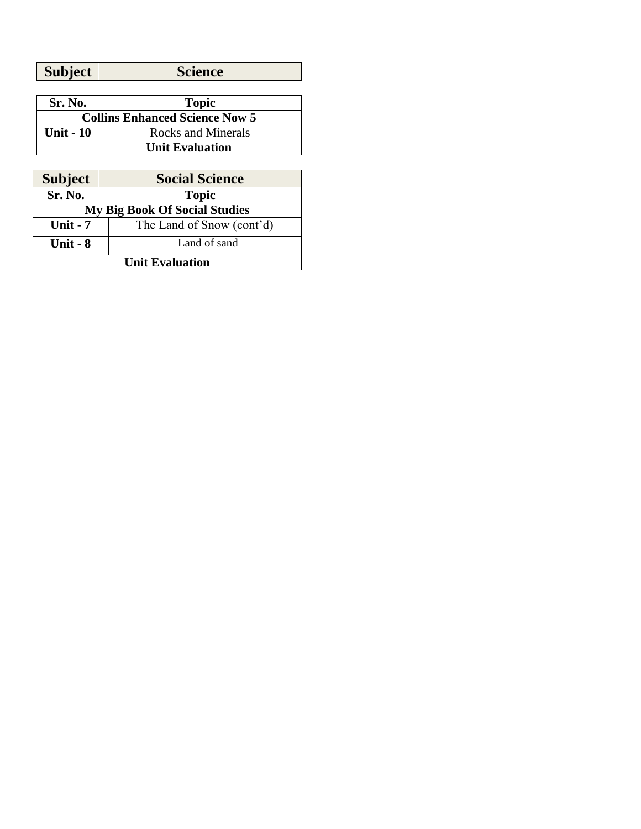| Sr. No.                               | <b>Topic</b>       |
|---------------------------------------|--------------------|
| <b>Collins Enhanced Science Now 5</b> |                    |
| <b>Unit - 10</b>                      | Rocks and Minerals |
| <b>Unit Evaluation</b>                |                    |
|                                       |                    |
|                                       |                    |

| <b>Subject</b>                       | <b>Social Science</b>     |
|--------------------------------------|---------------------------|
| Sr. No.                              | <b>Topic</b>              |
| <b>My Big Book Of Social Studies</b> |                           |
| Unit $-7$                            | The Land of Snow (cont'd) |
| Unit $-8$                            | Land of sand              |
| <b>Unit Evaluation</b>               |                           |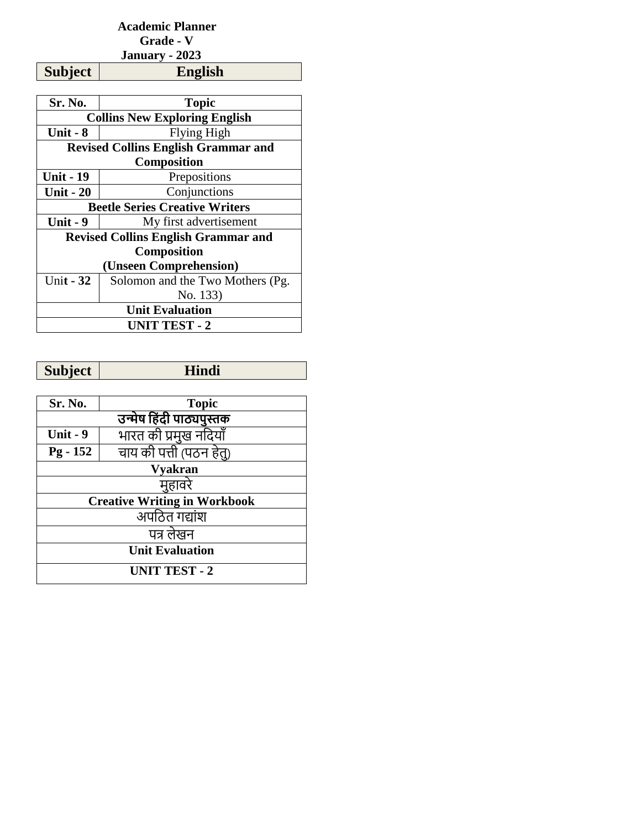## **Academic Planner Grade - V January - 2023**

**Subject** 

| Sr. No.                                    | <b>Topic</b>                               |
|--------------------------------------------|--------------------------------------------|
| <b>Collins New Exploring English</b>       |                                            |
| Unit - 8                                   | Flying High                                |
|                                            | <b>Revised Collins English Grammar and</b> |
| <b>Composition</b>                         |                                            |
| <b>Unit - 19</b>                           | Prepositions                               |
| <b>Unit - 20</b>                           | Conjunctions                               |
| <b>Beetle Series Creative Writers</b>      |                                            |
| Unit - 9                                   | My first advertisement                     |
| <b>Revised Collins English Grammar and</b> |                                            |
| <b>Composition</b>                         |                                            |
| (Unseen Comprehension)                     |                                            |
| Unit $-32$                                 | Solomon and the Two Mothers (Pg.           |
|                                            | No. 133)                                   |
| <b>Unit Evaluation</b>                     |                                            |
| <b>UNIT TEST - 2</b>                       |                                            |

| <b>Subject</b>                      | <b>Hindi</b>             |
|-------------------------------------|--------------------------|
|                                     |                          |
| Sr. No.                             | <b>Topic</b>             |
|                                     | उन्मेष हिंदी पाठ्यपुस्तक |
| Unit - 9                            | भारत की प्रमुख नदियाँ    |
| $Pg - 152$                          | चाय की पत्ती (पठन हेत्)  |
| <b>Vyakran</b>                      |                          |
| महावरे                              |                          |
| <b>Creative Writing in Workbook</b> |                          |
| <u>ज</u> पठित गद्यांश               |                          |
| पत्र लेखन                           |                          |
| <b>Unit Evaluation</b>              |                          |
| <b>UNIT TEST - 2</b>                |                          |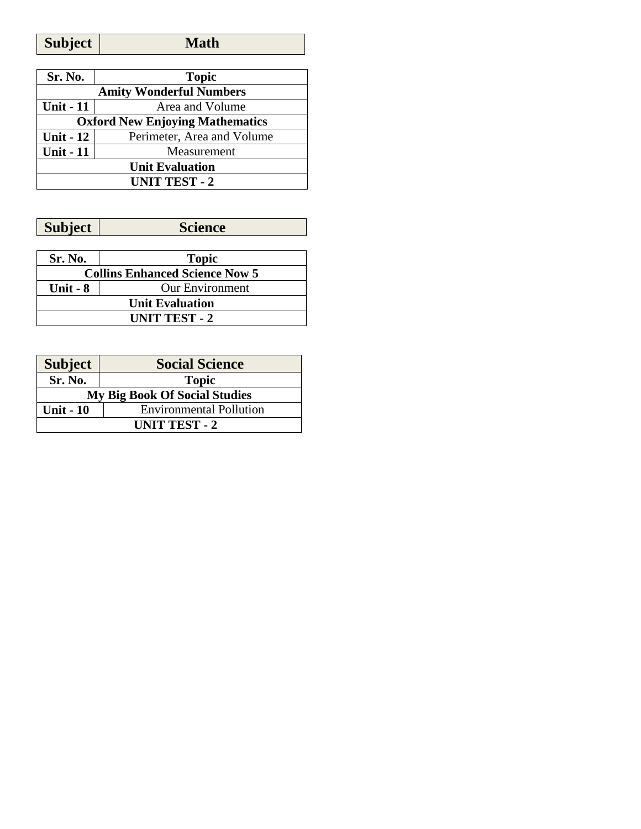| Sr. No.                                | <b>Topic</b>               |
|----------------------------------------|----------------------------|
| <b>Amity Wonderful Numbers</b>         |                            |
| <b>Unit - 11</b>                       | Area and Volume            |
| <b>Oxford New Enjoying Mathematics</b> |                            |
| <b>Unit - 12</b>                       | Perimeter, Area and Volume |
| <b>Unit - 11</b>                       | Measurement                |
| <b>Unit Evaluation</b>                 |                            |
| <b>UNIT TEST - 2</b>                   |                            |

| <b>Subject</b><br>science |
|---------------------------|
|---------------------------|

| Sr. No.                               | <b>Topic</b>           |
|---------------------------------------|------------------------|
| <b>Collins Enhanced Science Now 5</b> |                        |
| Unit $-8$                             | <b>Our Environment</b> |
| <b>Unit Evaluation</b>                |                        |
| <b>UNIT TEST - 2</b>                  |                        |

| <b>Subject</b>                       | <b>Social Science</b>          |
|--------------------------------------|--------------------------------|
| Sr. No.                              | <b>Topic</b>                   |
| <b>My Big Book Of Social Studies</b> |                                |
| <b>Unit - 10</b>                     | <b>Environmental Pollution</b> |
| <b>UNIT TEST - 2</b>                 |                                |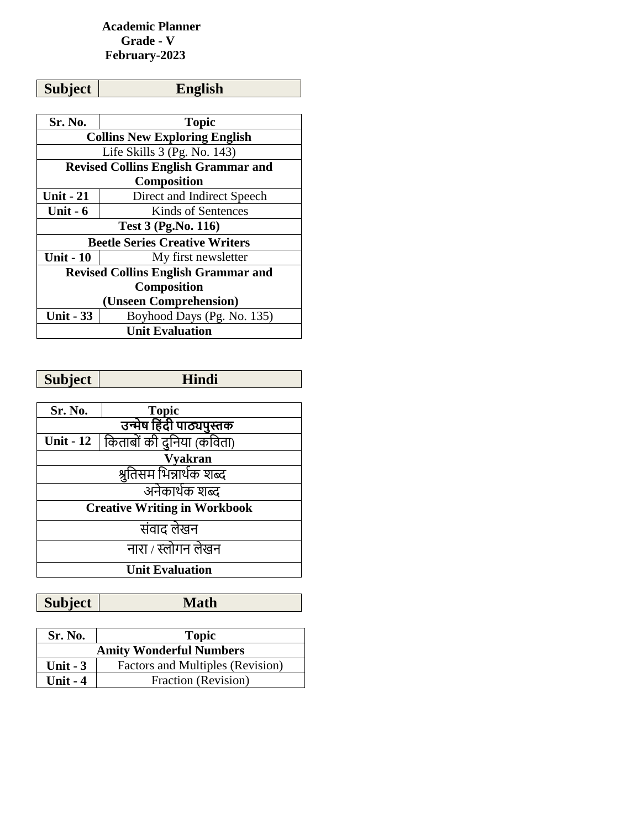### **Academic Planner Grade - V February-2023**

| Subject | <b>English</b> |
|---------|----------------|
|         |                |

| Sr. No.                                    | <b>Topic</b>               |
|--------------------------------------------|----------------------------|
| <b>Collins New Exploring English</b>       |                            |
| Life Skills $3$ (Pg. No. 143)              |                            |
| <b>Revised Collins English Grammar and</b> |                            |
| <b>Composition</b>                         |                            |
| <b>Unit - 21</b>                           | Direct and Indirect Speech |
| Unit $-6$                                  | Kinds of Sentences         |
| <b>Test 3 (Pg.No. 116)</b>                 |                            |
| <b>Beetle Series Creative Writers</b>      |                            |
| <b>Unit - 10</b>                           | My first newsletter        |
| <b>Revised Collins English Grammar and</b> |                            |
| <b>Composition</b>                         |                            |
| (Unseen Comprehension)                     |                            |
| <b>Unit - 33</b>                           | Boyhood Days (Pg. No. 135) |
| <b>Unit Evaluation</b>                     |                            |

| <b>Subject</b>                      | Hindi                     |
|-------------------------------------|---------------------------|
|                                     |                           |
| Sr. No.                             | <b>Topic</b>              |
| उन्मेष हिंदी पाठ्यपुस्तक            |                           |
| <b>Unit - 12</b>                    | किताबों की दुनिया (कविता) |
| <b>Vyakran</b>                      |                           |
| श्रुतिसम भिन्नार्थक शब्द            |                           |
| अनेकार्थक शब्द                      |                           |
| <b>Creative Writing in Workbook</b> |                           |
| संवाद लेखन                          |                           |
| नारा / स्लोगन लेखन                  |                           |
| <b>Unit Evaluation</b>              |                           |
|                                     |                           |

| Sr. No.                        | <b>Topic</b>                     |
|--------------------------------|----------------------------------|
| <b>Amity Wonderful Numbers</b> |                                  |
| Unit $-3$                      | Factors and Multiples (Revision) |
| Unit $-4$                      | Fraction (Revision)              |